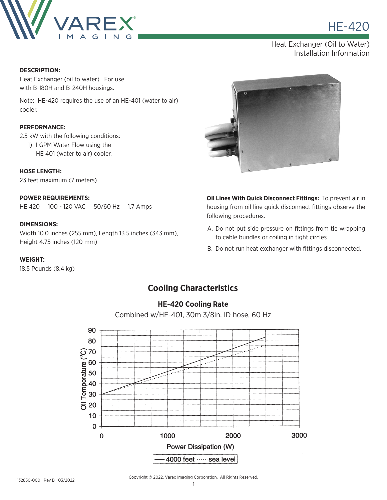

**HE-420** 

Heat Exchanger (Oil to Water) Installation Information

#### **DESCRIPTION:**

Heat Exchanger (oil to water). For use with B-180H and B-240H housings.

Note: HE-420 requires the use of an HE-401 (water to air) cooler.

#### **PERFORMANCE:**

2.5 kW with the following conditions:

 1) 1 GPM Water Flow using the HE 401 (water to air) cooler.

**HOSE LENGTH:** 23 feet maximum (7 meters)

### **POWER REQUIREMENTS:**

HE 420 100 - 120 VAC 50/60 Hz 1.7 Amps

#### **DIMENSIONS:**

Width 10.0 inches (255 mm), Length 13.5 inches (343 mm), Height 4.75 inches (120 mm)

#### **WEIGHT:**

18.5 Pounds (8.4 kg)



**Oil Lines With Quick Disconnect Fittings:** To prevent air in housing from oil line quick disconnect fittings observe the following procedures.

- A. Do not put side pressure on fittings from tie wrapping to cable bundles or coiling in tight circles.
- B. Do not run heat exchanger with fittings disconnected.

## **Cooling Characteristics**



**HE-420 Cooling Rate**

Combined w/HE-401, 30m 3/8in. ID hose, 60 Hz

Copyright © 2022, Varex Imaging Corporation. All Rights Reserved.